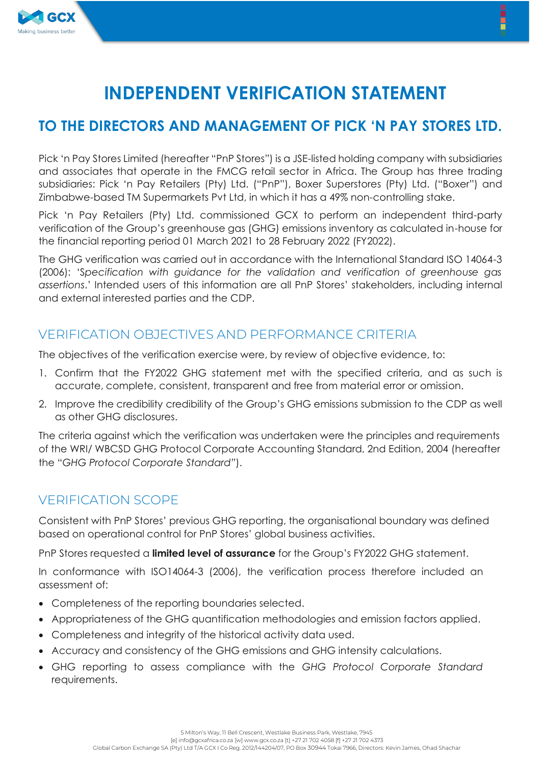

# **70 THE DIRECTORS AND MANAGEMENT OF PICK 'N PAY STORES LTD.**

Pick 'n Pay Stores Limited (hereafter "PnP Stores") is a JSE-listed holding company with subsidiaries and associates that operate in the FMCG retail sector in Africa. The Group has three trading subsidiaries: Pick 'n Pay Retailers (Pty) Ltd. ("PnP"), Boxer Superstores (Pty) Ltd. ("Boxer") and Zimbabwe-based TM Supermarkets Pvt Ltd, in which it has a 49% non-controlling stake.

Pick 'n Pay Retailers (Pty) Ltd. commissioned GCX to perform an independent third-party verification of the Group's greenhouse gas (GHG) emissions inventory as calculated in-house for the financial reporting period 01 March 2021 to 28 February 2022 (FY2022).

The GHG verification was carried out in accordance with the International Standard ISO 14064-3  ¶6*pecification with guidance for the validation and verification of greenhouse gas*  assertions.' Intended users of this information are all PnP Stores' stakeholders, including internal and external interested parties and the CDP.

# VERIFICATION OBJECTIVES AND PERFORMANCE CRITERIA

The objectives of the verification exercise were, by review of objective evidence, to:

- 1. Confirm that the FY2022 GHG statement met with the specified criteria, and as such is accurate, complete, consistent, transparent and free from material error or omission.
- 2. Improve the credibility credibility of the Group's GHG emissions submission to the CDP as well as other GHG disclosures.

The criteria against which the verification was undertaken were the principles and requirements of the WRI/ WBCSD GHG Protocol Corporate Accounting Standard, 2nd Edition, 2004 (hereafter the ´*GHG Protocol Corporate Standardµ*).

#### VERIFICATION SCOPE

Consistent with PnP Stores' previous GHG reporting, the organisational boundary was defined based on operational control for PnP Stores' alobal business activities.

PnP Stores requested a **limited level of assurance** for the Group's FY2022 GHG statement.

In conformance with ISO14064-3 (2006), the verification process therefore included an assessment of:

- Completeness of the reporting boundaries selected.
- Appropriateness of the GHG quantification methodologies and emission factors applied.
- Completeness and integrity of the historical activity data used.
- x Accuracy and consistency of the GHG emissions and GHG intensity calculations.
- x GHG reporting to assess compliance with the *GHG Protocol Corporate Standard* requirements.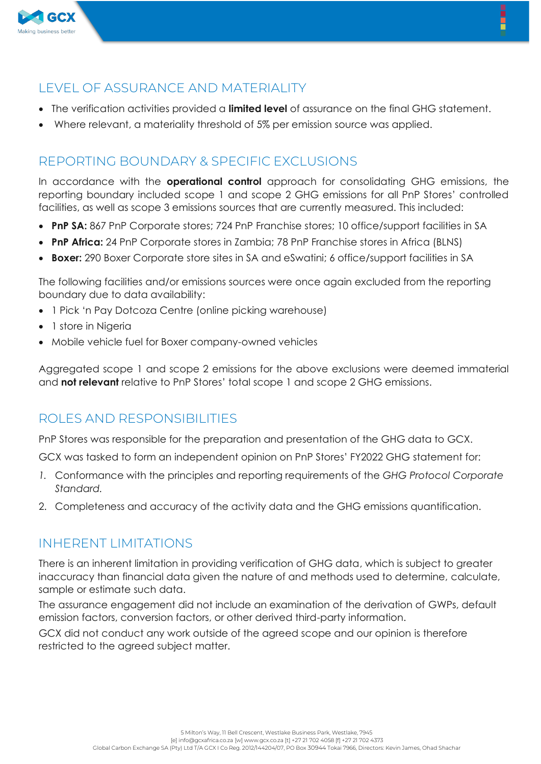

## LEVEL OF ASSURANCE AND MATERIALITY

- x The verification activities provided a **limited level** of assurance on the final GHG statement.
- Where relevant, a materiality threshold of 5% per emission source was applied.

## REPORTING BOUNDARY & SPECIFIC EXCLUSIONS

In accordance with the **operational control** approach for consolidating GHG emissions, the reporting boundary included scope 1 and scope 2 GHG emissions for all PnP Stores' controlled facilities, as well as scope 3 emissions sources that are currently measured. This included:

- **PnP SA:** 867 PnP Corporate stores; 724 PnP Franchise stores; 10 office/support facilities in SA
- **PnP Africa:** 24 PnP Corporate stores in Zambia; 78 PnP Franchise stores in Africa (BLNS)
- **Boxer:** 290 Boxer Corporate store sites in SA and eSwatini; 6 office/support facilities in SA

The following facilities and/or emissions sources were once again excluded from the reporting boundary due to data availability:

- 1 Pick 'n Pay Dotcoza Centre (online picking warehouse)
- 1 store in Nigeria
- Mobile vehicle fuel for Boxer company-owned vehicles

Aggregated scope 1 and scope 2 emissions for the above exclusions were deemed immaterial and **not relevant** relative to PnP Stores' total scope 1 and scope 2 GHG emissions.

#### ROLES AND RESPONSIBILITIES

PnP Stores was responsible for the preparation and presentation of the GHG data to GCX.

GCX was tasked to form an independent opinion on PnP Stores' FY2022 GHG statement for:

- *1.* Conformance with the principles and reporting requirements of the *GHG Protocol Corporate Standard.*
- 2. Completeness and accuracy of the activity data and the GHG emissions quantification.

#### INHERENT LIMITATIONS

There is an inherent limitation in providing verification of GHG data, which is subject to greater inaccuracy than financial data given the nature of and methods used to determine, calculate, sample or estimate such data.

The assurance engagement did not include an examination of the derivation of GWPs, default emission factors, conversion factors, or other derived third-party information.

GCX did not conduct any work outside of the agreed scope and our opinion is therefore restricted to the agreed subject matter.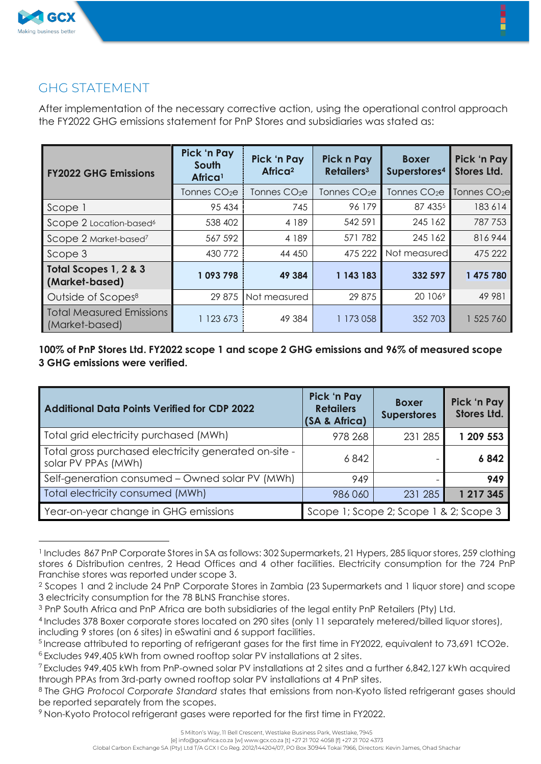

### GHG STATEMENT

After implementation of the necessary corrective action, using the operational control approach the FY2022 GHG emissions statement for PnP Stores and subsidiaries was stated as:

| <b>FY2022 GHG Emissions</b>                       | <b>Pick 'n Pay</b><br>South<br>Africa <sup>1</sup> | Pick 'n Pay<br>Africa <sup>2</sup> | Pick n Pay<br>Retailers <sup>3</sup> | <b>Boxer</b><br>Superstores <sup>4</sup> | Pick 'n Pay<br><b>Stores Ltd.</b> |
|---------------------------------------------------|----------------------------------------------------|------------------------------------|--------------------------------------|------------------------------------------|-----------------------------------|
|                                                   | Tonnes $CO2e$                                      | Tonnes $CO2e$                      | Tonnes CO <sub>2</sub> e             | Tonnes $CO2e$                            | Tonnes CO <sub>2e</sub>           |
| Scope 1                                           | 95 434                                             | 745                                | 96 179                               | 87 4355                                  | 183 614                           |
| Scope 2 Location-based <sup>6</sup>               | 538 402                                            | 4 189                              | 542 591                              | 245 162                                  | 787 753                           |
| Scope 2 Market-based <sup>7</sup>                 | 567 592                                            | 4 189                              | 571782                               | 245 162                                  | 816944                            |
| Scope 3                                           | 430 772                                            | 44 450                             | 475 222                              | Not measured                             | 475 222                           |
| Total Scopes 1, 2 & 3<br>(Market-based)           | 1093798                                            | 49 384                             | 1 143 183                            | 332 597                                  | 1 475 780                         |
| Outside of Scopes <sup>8</sup>                    | 29 875                                             | Not measured                       | 29 875                               | 20 1069                                  | 49 981                            |
| <b>Total Measured Emissions</b><br>(Market-based) | 123 673                                            | 49 384                             | 1 173 058                            | 352 703                                  | 1 525 760                         |

**100% of PnP Stores Ltd. FY2022 scope 1 and scope 2 GHG emissions and 96% of measured scope 3 GHG emissions were verified.**

| <b>Additional Data Points Verified for CDP 2022</b>                          | Pick 'n Pay<br><b>Retailers</b><br>(SA & Africa) | <b>Boxer</b><br><b>Superstores</b> | Pick 'n Pay<br><b>Stores Ltd.</b> |
|------------------------------------------------------------------------------|--------------------------------------------------|------------------------------------|-----------------------------------|
| Total grid electricity purchased (MWh)                                       | 978 268                                          | 231 285                            | 1 209 553                         |
| Total gross purchased electricity generated on-site -<br>solar PV PPAs (MWh) | 6842                                             |                                    | 6842                              |
| Self-generation consumed - Owned solar PV (MWh)                              | 949                                              |                                    | 949                               |
| Total electricity consumed (MWh)                                             | 986 060                                          | 231 285                            | 1 217 345                         |
| Year-on-year change in GHG emissions                                         | Scope 1; Scope 2; Scope 1 & 2; Scope 3           |                                    |                                   |

<sup>1</sup> Includes 867 PnP Corporate Stores in SA as follows: 302 Supermarkets, 21 Hypers, 285 liquor stores, 259 clothing stores 6 Distribution centres, 2 Head Offices and 4 other facilities. Electricity consumption for the 724 PnP Franchise stores was reported under scope 3.

<sup>2</sup> Scopes 1 and 2 include 24 PnP Corporate Stores in Zambia (23 Supermarkets and 1 liquor store) and scope 3 electricity consumption for the 78 BLNS Franchise stores.

<sup>&</sup>lt;sup>3</sup> PnP South Africa and PnP Africa are both subsidiaries of the legal entity PnP Retailers (Pty) Ltd.

<sup>4</sup> Includes 378 Boxer corporate stores located on 290 sites (only 11 separately metered/billed liquor stores), including 9 stores (on 6 sites) in eSwatini and 6 support facilities.

<sup>5</sup> Increase attributed to reporting of refrigerant gases for the first time in FY2022, equivalent to 73,691 tCO2e.

<sup>&</sup>lt;sup>6</sup> Excludes 949,405 kWh from owned rooftop solar PV installations at 2 sites.

<sup>7</sup> Excludes 949,405 kWh from PnP-owned solar PV installations at 2 sites and a further 6,842,127 kWh acquired through PPAs from 3rd-party owned rooftop solar PV installations at 4 PnP sites.

<sup>8</sup> The *GHG Protocol Corporate Standard* states that emissions from non-Kyoto listed refrigerant gases should be reported separately from the scopes.

<sup>9</sup> Non-Kyoto Protocol refrigerant gases were reported for the first time in FY2022.